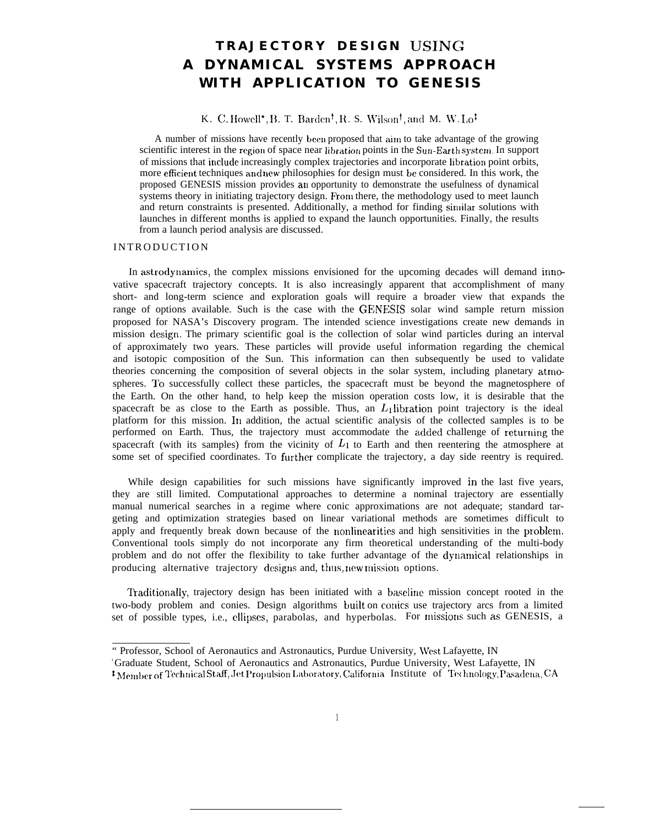# **TRAJECTORY DESIGN USING A DYNAMICAL SYSTEMS APPROACH WITH APPLICATION TO GENESIS**

# K. C. Howell<sup>\*</sup>, B. T. Barden<sup>†</sup>, R. S. Wilson<sup>†</sup>, and M. W. Lo<sup>t</sup>

A number of missions have recently been proposed that aim to take advantage of the growing scientific interest in the region of space near libration points in the Sun-Earth system. In support of missions that include increasingly complex trajectories and incorporate libration point orbits, more efficient techniques and new philosophies for design must be considered. In this work, the proposed GENESIS mission provides an opportunity to demonstrate the usefulness of dynamical systems theory in initiating trajectory design. From there, the methodology used to meet launch and return constraints is presented. Additionally, a method for finding siruilar solutions with launches in different months is applied to expand the launch opportunities. Finally, the results from a launch period analysis are discussed.

## **INTRODUCTION**

In astrodynamics, the complex missions envisioned for the upcoming decades will demand innovative spacecraft trajectory concepts. It is also increasingly apparent that accomplishment of many short- and long-term science and exploration goals will require a broader view that expands the range of options available. Such is the case with the GENESIS solar wind sample return mission proposed for NASA's Discovery program. The intended science investigations create new demands in mission design. The primary scientific goal is the collection of solar wind particles during an interval of approximately two years. These particles will provide useful information regarding the chemical and isotopic composition of the Sun. This information can then subsequently be used to validate theories concerning the composition of several objects in the solar system, including planetary atnmspheres. To successfully collect these particles, the spacecraft must be beyond the magnetosphere of the Earth. On the other hand, to help keep the mission operation costs low, it is desirable that the spacecraft be as close to the Earth as possible. Thus, an  $L_1$  libration point trajectory is the ideal platform for this mission. Itl addition, the actual scientific analysis of the collected samples is to be performed on Earth. Thus, the trajectory must accommodate the added challenge of returning the spacecraft (with its samples) from the vicinity of  $L_1$  to Earth and then reentering the atmosphere at some set of specified coordinates. To further complicate the trajectory, a day side reentry is required.

While design capabilities for such missions have significantly improved in the last five years, they are still limited. Computational approaches to determine a nominal trajectory are essentially manual numerical searches in a regime where conic approximations are not adequate; standard targeting and optimization strategies based on linear variational methods are sometimes difficult to apply and frequently break down because of the nonlinearities and high sensitivities in the problem. Conventional tools simply do not incorporate any firm theoretical understanding of the multi-body problem and do not offer the flexibility to take further advantage of the dynamical relationships in producing alternative trajectory designs and, thus, new mission options.

Traditionally, trajectory design has been initiated with a baseline mission concept rooted in the two-body problem and conies. Design algorithms built on conics use trajectory arcs from a limited set of possible types, i.e., ellipses, parabolas, and hyperbolas. For missiom such as GENESIS, a

<sup>&</sup>quot; Professor, School of Aeronautics and Astronautics, Purdue University, lVest Lafayette, IN

<sup>&</sup>lt;sup>'</sup>Graduate Student, School of Aeronautics and Astronautics, Purdue University, West Lafayette, IN

<sup>&</sup>lt;sup>†</sup> Member of Technical Staff, Jet Propulsion Laboratory, California Institute of Technology, Pasadena, CA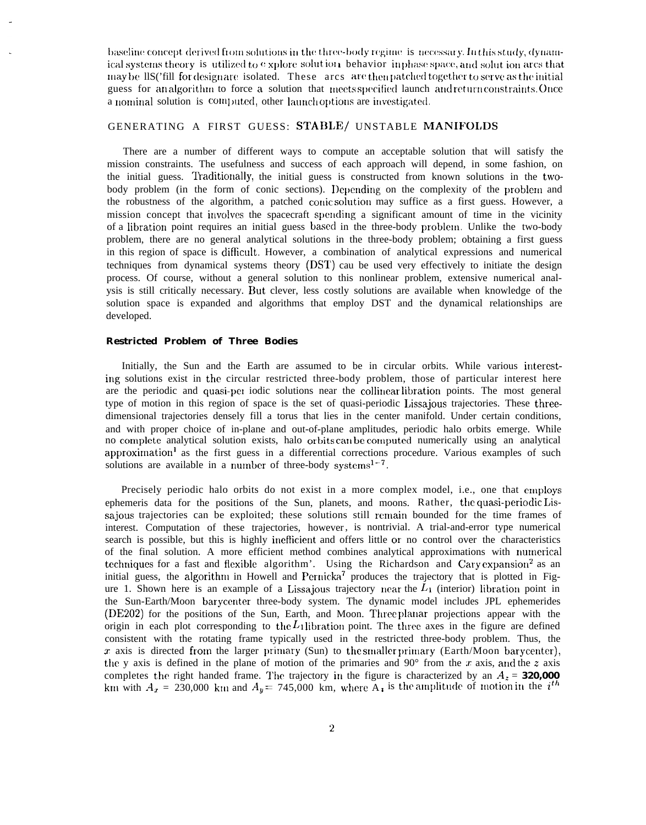baseline concept derived from solutions in the three-body regime is necessary. In this study, dynamical systems theory is utilized to explore solution behavior in phase space, and solution arcs that may be lls ('fill for designare isolated. These arcs are then patched together to serve as the initial guess for an algorithm to force a solution that meets specified launch and return constraints. Once a nominal solution is computed, other launch options are investigated.

## GENERATING A FIRST GUESS: STABLE/ UNSTABLE MANIFOLDS

There are a number of different ways to compute an acceptable solution that will satisfy the mission constraints. The usefulness and success of each approach will depend, in some fashion, on the initial guess. Traditionally, the initial guess is constructed from known solutions in the twobody problem (in the form of conic sections). Depending on the complexity of the problem and the robustness of the algorithm, a patched conic solution may suffice as a first guess. However, a mission concept that involves the spacecraft spending a significant amount of time in the vicinity of a libration point requires an initial guess based in the three-body problem. Unlike the two-body problem, there are no general analytical solutions in the three-body problem; obtaining a first guess in this region of space is difficult. However, a combination of analytical expressions and numerical techniques from dynamical systems theory (DST) cau be used very effectively to initiate the design process. Of course, without a general solution to this nonlinear problem, extensive numerical analysis is still critically necessary. But clever, less costly solutions are available when knowledge of the solution space is expanded and algorithms that employ DST and the dynamical relationships are developed.

### **Restricted Problem of Three Bodies**

Initially, the Sun and the Earth are assumed to be in circular orbits. While various interesting solutions exist in the circular restricted three-body problem, those of particular interest here are the periodic and quasi-per iodic solutions near the collinear libration points. The most general type of motion in this region of space is the set of quasi-periodic Lissajous trajectories. These threedimensional trajectories densely fill a torus that lies in the center manifold. Under certain conditions, and with proper choice of in-plane and out-of-plane amplitudes, periodic halo orbits emerge. While no complete analytical solution exists, halo orbits can be computed numerically using an analytical approximation<sup>1</sup> as the first guess in a differential corrections procedure. Various examples of such solutions are available in a number of three-body systems<sup>1-7</sup>.

Precisely periodic halo orbits do not exist in a more complex model, i.e., one that employs ephemeris data for the positions of the Sun, planets, and moons. Rather, the quasi-periodic Lissajous trajectories can be exploited; these solutions still remain bounded for the time frames of interest. Computation of these trajectories, however, is nontrivial. A trial-and-error type numerical search is possible, but this is highly inefficient and offers little or no control over the characteristics of the final solution. A more efficient method combines analytical approximations with numerical techniques for a fast and flexible algorithm'. Using the Richardson and Cary expansion<sup>2</sup> as an initial guess, the algorithm in Howell and Pernicka<sup>7</sup> produces the trajectory that is plotted in Figure 1. Shown here is an example of a Lissajous trajectory near the  $L_1$  (interior) libration point in the Sun-Earth/Moon barycenter three-body system. The dynamic model includes JPL ephemerides (DE202) for the positions of the Sun, Earth, and Moon. Three planar projections appear with the origin in each plot corresponding to the  $L_1$ libration point. The three axes in the figure are defined consistent with the rotating frame typically used in the restricted three-body problem. Thus, the  $x$  axis is directed from the larger primary (Sun) to the smaller primary (Earth/Moon barycenter), the y axis is defined in the plane of motion of the primaries and 90 $^{\circ}$  from the x axis, and the z axis completes the right handed frame. The trajectory in the figure is characterized by an  $A_z = 320,000$ km with  $A_x = 230,000$  km and  $A_y = 745,000$  km, where  $A_x$  is the amplitude of motion in the  $i^{th}$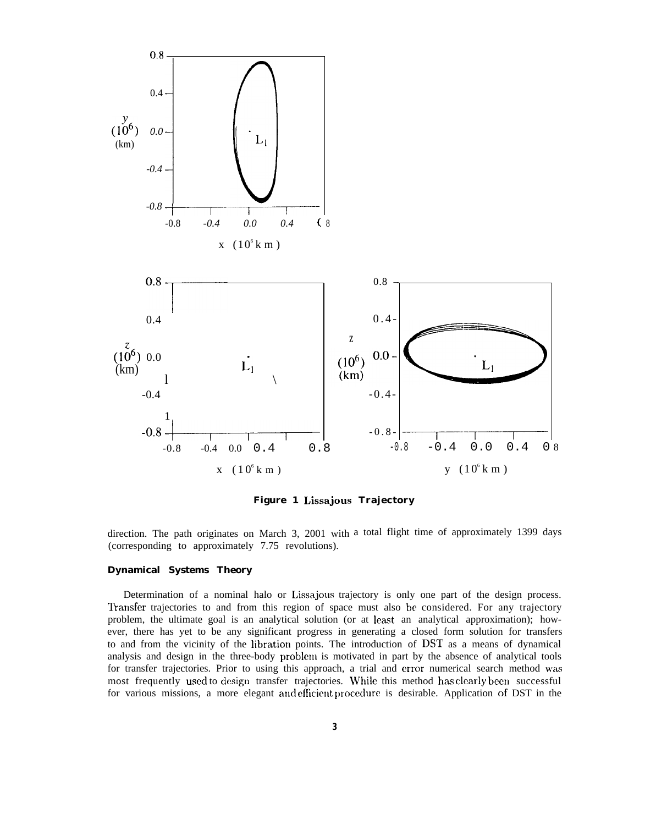

**Figure 1 Lissajous Trajectory**

direction. The path originates on March 3, 2001 with a total flight time of approximately 1399 days (corresponding to approximately 7.75 revolutions).

## **Dynamical Systems Theory**

Determination of a nominal halo or Lissajous trajectory is only one part of the design process. Transfer trajectories to and from this region of space must also be considered. For any trajectory problem, the ultimate goal is an analytical solution (or at least an analytical approximation); however, there has yet to be any significant progress in generating a closed form solution for transfers to and from the vicinity of the libration points. The introduction of DST as a means of dynamical analysis and design in the three-body problem is motivated in part by the absence of analytical tools for transfer trajectories. Prior to using this approach, a trial and error numerical search method was most frequently used to design transfer trajectories. While this method has clearly been successful for various missions, a more elegant and efficient procedure is desirable. Application of DST in the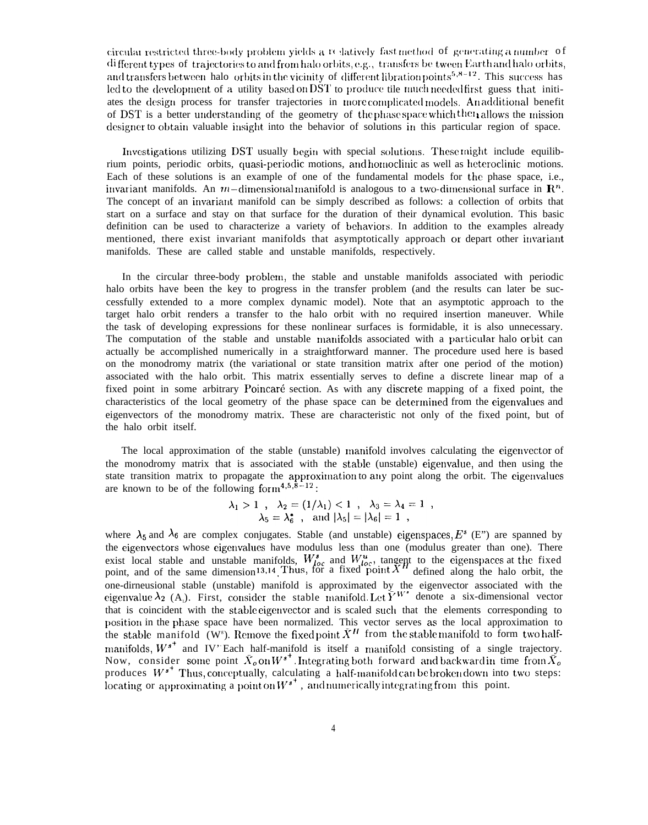circular restricted three-body problem yields a relatively fast method of generating a number of different types of trajectories to and from halo orbits, e.g., transfers be tween Earth and halo orbits, and transfers between halo orbits in the vicinity of different libration points<sup>5,8-12</sup>. This success has led to the development of a utility based on DST to produce tile much needed first guess that initiates the design process for transfer trajectories in more complicated models. An additional benefit of DST is a better understanding of the geometry of the phase space which then allows the mission designer to obtain valuable insight into the behavior of solutions in this particular region of space.

Investigations utilizing DST usually begin with special solutions. These might include equilibrium points, periodic orbits, quasi-periodic motions, and homoclinic as well as heteroclinic motions. Each of these solutions is an example of one of the fundamental models for the phase space, i.e., invariant manifolds. An  $m$ -dimensional manifold is analogous to a two-dimensional surface in  $\mathbb{R}^n$ . The concept of an invariant manifold can be simply described as follows: a collection of orbits that start on a surface and stay on that surface for the duration of their dynamical evolution. This basic definition can be used to characterize a variety of behaviors. In addition to the examples already mentioned, there exist invariant manifolds that asymptotically approach or depart other invariant manifolds. These are called stable and unstable manifolds, respectively.

In the circular three-body problem, the stable and unstable manifolds associated with periodic halo orbits have been the key to progress in the transfer problem (and the results can later be successfully extended to a more complex dynamic model). Note that an asymptotic approach to the target halo orbit renders a transfer to the halo orbit with no required insertion maneuver. While the task of developing expressions for these nonlinear surfaces is formidable, it is also unnecessary. The computation of the stable and unstable manifolds associated with a particular halo orbit can actually be accomplished numerically in a straightforward manner. The procedure used here is based on the monodromy matrix (the variational or state transition matrix after one period of the motion) associated with the halo orbit. This matrix essentially serves to define a discrete linear map of a fixed point in some arbitrary Poincaré section. As with any discrete mapping of a fixed point, the characteristics of the local geometry of the phase space can be determined from the eigenvalues and eigenvectors of the monodromy matrix. These are characteristic not only of the fixed point, but of the halo orbit itself.

The local approximation of the stable (unstable) manifold involves calculating the eigenvector of the monodromy matrix that is associated with the stable (unstable) eigenvalue, and then using the state transition matrix to propagate the approximation to any point along the orbit. The eigenvalues are known to be of the following form<sup>4,5,8-12</sup>:

$$
\lambda_1 > 1 \quad , \quad \lambda_2 = (1/\lambda_1) < 1 \quad , \quad \lambda_3 = \lambda_4 = 1 \quad ,
$$
  

$$
\lambda_5 = \lambda_6^* \quad , \quad \text{and } |\lambda_5| = |\lambda_6| = 1 \quad ,
$$

where  $\lambda_5$  and  $\lambda_6$  are complex conjugates. Stable (and unstable) eigenspaces, E<sup>s</sup> (E") are spanned by the eigenvectors whose eigenvalues have modulus less than one (modulus greater than one). There exist local stable and unstable manifolds,  $W_{loc}^s$  and  $W_{loc}^u$ , tangent to the eigenspaces at the fixed point, and of the same dimension<sup>13,14</sup>. Thus, for a fixed point  $\overline{X}^H$  defined along the halo orbit, the one-dirneusional stable (unstable) manifold is approximated by the eigenvector associated with the eigenvalue  $\lambda_2$  (A<sub>1</sub>). First, consider the stable manifold Let  $\tilde{Y}^{W^*}$  denote a six-dimensional vector that is coincident with the stable eigenvector and is scaled such that the elements corresponding to position in the phase space have been normalized. This vector serves as the local approximation to the stable manifold ( $W^s$ ). Remove the fixed point  $\bar{X}^H$  from the stable manifold to form two halfmanifolds,  $W^{s^+}$  and IV Each half-manifold is itself a manifold consisting of a single trajectory. Now, consider some point  $\bar{X}_o$  on  $W^{s^+}$ . Integrating both forward and backward in time from  $\bar{X}_o$ produces  $W^{s^+}$  Thus, conceptually, calculating a half-manifold can be broken down into two steps: locating or approximating a point on  $W^{s^*}$ , and numerically integrating from this point.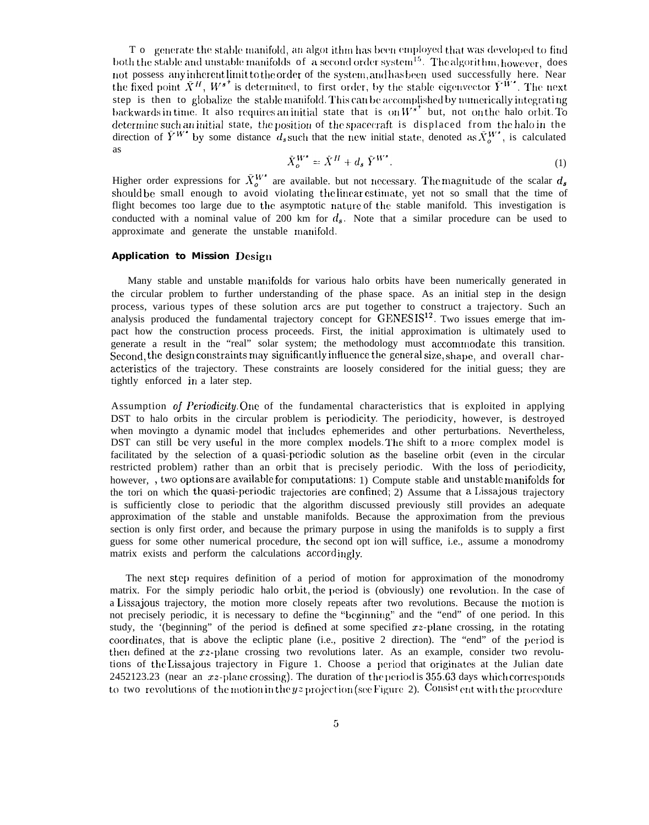To generate the stable manifold, an algorithm has been employed that was developed to find both the stable and unstable manifolds of a second order system<sup>15</sup>. The algorithm, however, does not possess any inherent limit to the order of the system, and has been used successfully here. Near the fixed point  $\tilde{X}^H$ ,  $W^{s^+}$  is determined, to first order, by the stable eigenvector  $\tilde{Y}^{\tilde{W}^s}$ . The next step is then to globalize the stable manifold. This can be accomplished by numerically integrating backwards in time. It also requires an initial state that is on  $W^{s^+}$  but, not on the halo orbit. To determine such an initial state, the position of the spacecraft is displaced from the halo in the direction of  $\tilde{Y}^{W^*}$  by some distance  $d_s$  such that the new initial state, denoted as  $\tilde{X}^{W^*}_{\sigma}$ , is calculated **as** 

$$
\bar{X}^{W^*}_{o} = \bar{X}^H + d_s \bar{Y}^{W^*}.
$$
\n<sup>(1)</sup>

Higher order expressions for  $\bar{X}_{o}^{W^*}$  are available, but not necessary. The magnitude of the scalar  $d_s$  should be small enough to avoid violating the linear estimate, yet not so small that the time of flight becomes too large due to the asymptotic nature of the stable manifold. This investigation is conducted with a nominal value of 200 km for  $d_s$ . Note that a similar procedure can be used to approximate and generate the unstable manifold.

#### **Application to Mission Design**

Many stable and unstable manifolds for various halo orbits have been numerically generated in the circular problem to further understanding of the phase space. As an initial step in the design process, various types of these solution arcs are put together to construct a trajectory. Such an analysis produced the fundamental trajectory concept for GENESIS<sup>12</sup>. Two issues emerge that impact how the construction process proceeds. First, the initial approximation is ultimately used to generate a result in the "real" solar system; the methodology must accommodate this transition. Second, the design constraints may significantly influence the general size, shape, and overall characteristics of the trajectory. These constraints are loosely considered for the initial guess; they are tightly enforced in a later step.

Assumption of *Periodicity*. One of the fundamental characteristics that is exploited in applying DST to halo orbits in the circular problem is periodicity. The periodicity, however, is destroyed when movingto a dynamic model that includes ephemerides and other perturbations. Nevertheless, DST can still be very useful in the more complex models. The shift to a more complex model is facilitated by the selection of a quasi-periodic solution as the baseline orbit (even in the circular restricted problem) rather than an orbit that is precisely periodic. With the loss of periodicity, however, , two options are available for computations: 1) Compute stable and unstable manifolds for the tori on which the quasi-periodic trajectories are confined; 2) Assume that a Lissajous trajectory is sufficiently close to periodic that the algorithm discussed previously still provides an adequate approximation of the stable and unstable manifolds. Because the approximation from the previous section is only first order, and because the primary purpose in using the manifolds is to supply a first guess for some other numerical procedure, the second opt ion will suffice, i.e., assume a monodromy matrix exists and perform the calculations accordingly.

The next step requires definition of a period of motion for approximation of the monodromy matrix. For the simply periodic halo orbit, the period is (obviously) one revolution. In the case of a Lissajous trajectory, the motion more closely repeats after two revolutions. Because the motion is not precisely periodic, it is necessary to define the "beginning" and the "end" of one period. In this study, the '(beginning' of the period is defined at some specified  $xz$ -plane crossing, in the rotating coordinates, that is above the ecliptic plane (i.e., positive 2 direction). The "end" of the period is then defined at the xz-plane crossing two revolutions later. As an example, consider two revolutions of the Lissajous trajectory in Figure 1. Choose a period that originates at the Julian date 2452123.23 (near an  $xz$ -plane crossing). The duration of the period is 355.63 days which corresponds to two revolutions of the motion in the yz projection (see Figure 2). Consistent with the procedure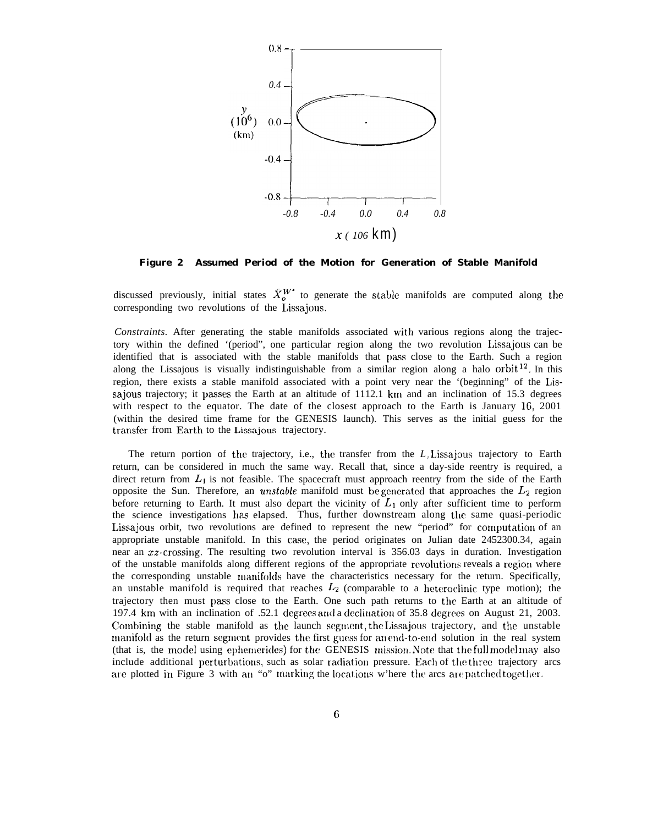

**Figure 2 Assumed Period of the Motion for Generation of Stable Manifold**

discussed previously, initial states  $\bar{X}_{0}^{W^{\bullet}}$  to generate the stable manifolds are computed along the corresponding two revolutions of the Lissajous.

*Constraints.* After generating the stable manifolds associated with various regions along the trajectory within the defined '(period", one particular region along the two revolution Lissajous can be identified that is associated with the stable manifolds that pass close to the Earth. Such a region along the Lissajous is visually indistinguishable from a similar region along a halo orbit  $1^2$ . In this region, there exists a stable manifold associated with a point very near the '(beginning" of the Lissajous trajectory; it passes the Earth at an altitude of 1112.1 km and an inclination of 15.3 degrees with respect to the equator. The date of the closest approach to the Earth is January 16, 2001 (within the desired time frame for the GENESIS launch). This serves as the initial guess for the transfer from Earth to the Lissajous trajectory.

The return portion of the trajectory, i.e., the transfer from the *L1* Lissajous trajectory to Earth return, can be considered in much the same way. Recall that, since a day-side reentry is required, a direct return from  $L_1$  is not feasible. The spacecraft must approach reentry from the side of the Earth opposite the Sun. Therefore, an *unstable* manifold must be generated that approaches the L<sub>2</sub> region before returning to Earth. It must also depart the vicinity of  $L_1$  only after sufficient time to perform the science investigations has elapsed. Thus, further downstream along the same quasi-periodic Lissajous orbit, two revolutions are defined to represent the new "period" for computation of an appropriate unstable manifold. In this case, the period originates on Julian date 2452300.34, again near an xz-crossing. The resulting two revolution interval is 356.03 days in duration. Investigation of the unstable manifolds along different regions of the appropriate revolutions reveals a region where the corresponding unstable manifolds have the characteristics necessary for the return. Specifically, an unstable manifold is required that reaches  $L_2$  (comparable to a heteroclinic type motion); the trajectory then must pass close to the Earth. One such path returns to the Earth at an altitude of 197.4 km with an inclination of  $.52.1$  degrees and a declination of 35.8 degrees on August 21, 2003. Cornbining the stable manifold as the launch segment, the Lissajous trajectory, and the unstable manifold as the return segment provides the first guess for an end-to-end solution in the real system (that is, the model using ephemerides) for the GENESIS mission. Note that the full model may also include additional perturbations, such as solar radiation pressure. Each of the three trajectory arcs are plotted in Figure 3 with an "o" marking the locations w'here the arcs are patched together.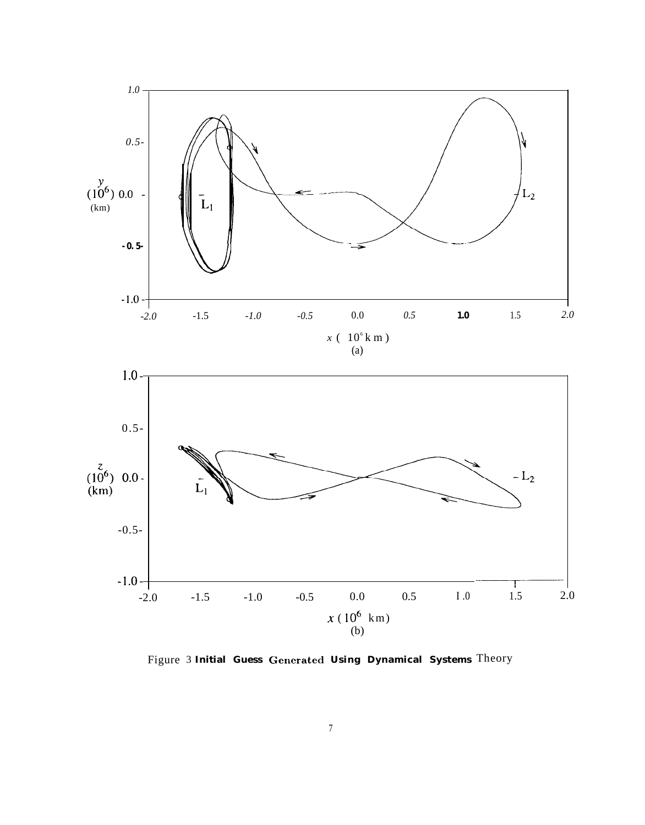

Figure 3 **Initial Guess Generatecl Using Dynamical Systems** Theory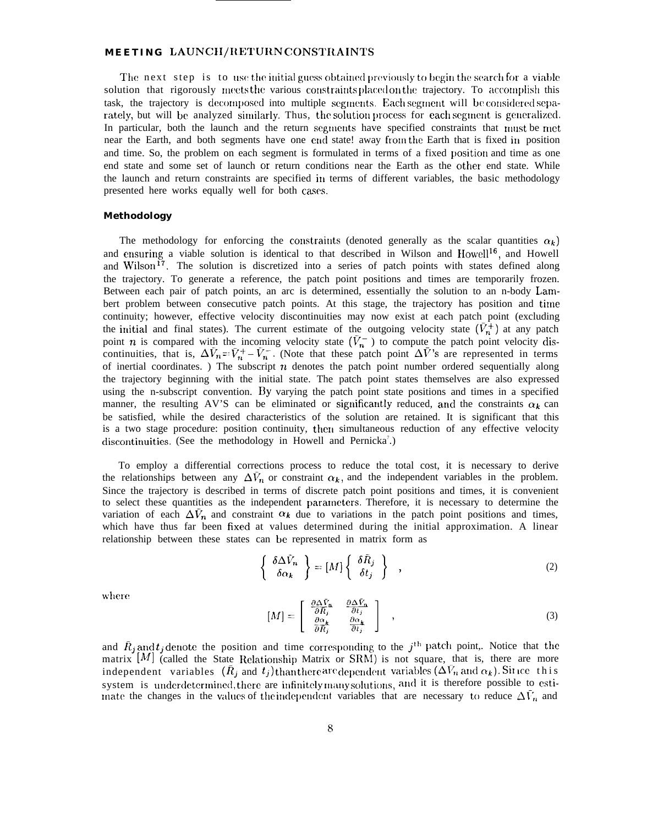## **MEETING LAUNCH/RETURN CONSTRAINTS**

The next step is to use the initial guess obtained previously to begin the search for a viable solution that rigorously meets the various constraints placed on the trajectory. To accomplish this task, the trajectory is decomposed into multiple segments. Each segment will be considered separately, but will be analyzed similarly. Thus, the solution process for each segment is generalized. In particular, both the launch and the return segments have specified constraints that must be met near the Earth, and both segments have one end state! away from the Earth that is fixed in position and time. So, the problem on each segment is formulated in terms of a fixed position and time as one end state and some set of launch or return conditions near the Earth as the other end state. While the launch and return constraints are specified in terms of different variables, the basic methodology presented here works equally well for both cases.

#### **Methodology**

The methodology for enforcing the constraints (denoted generally as the scalar quantities  $\alpha_k$ ) and ensuring a viable solution is identical to that described in Wilson and Howell<sup>16</sup>, and Howell and Wilson<sup>17</sup>. The solution is discretized into a series of patch points with states defined along the trajectory. To generate a reference, the patch point positions and times are temporarily frozen. Between each pair of patch points, an arc is determined, essentially the solution to an n-body Lambert problem between consecutive patch points. At this stage, the trajectory has position and time continuity; however, effective velocity discontinuities may now exist at each patch point (excluding the initial and final states). The current estimate of the outgoing velocity state  $(\bar{V}_n^+)$  at any patch point *n* is compared with the incoming velocity state  $(V_n^-)$  to compute the patch point velocity discontinuities, that is,  $\Delta V_n = V_n^+ - V_n^-$ . (Note that these patch point  $\Delta V$ 's are represented in terms of inertial coordinates. ) The subscript  $n$  denotes the patch point number ordered sequentially along the trajectory beginning with the initial state. The patch point states themselves are also expressed using the n-subscript convention. By varying the patch point state positions and times in a specified manner, the resulting AV'S can be eliminated or significantly reduced, and the constraints  $\alpha_k$  can be satisfied, while the desired characteristics of the solution are retained. It is significant that this is a two stage procedure: position continuity, then simultaneous reduction of any effective velocity discontinuities. (See the methodology in Howell and Pernicka<sup>7</sup>.)

To employ a differential corrections process to reduce the total cost, it is necessary to derive the relationships between any  $\Delta V_n$  or constraint  $\alpha_k$ , and the independent variables in the problem. Since the trajectory is described in terms of discrete patch point positions and times, it is convenient to select these quantities as the independent parameters. Therefore, it is necessary to determine the variation of each  $\Delta V_n$  and constraint  $\alpha_k$  due to variations in the patch point positions and times, which have thus far been fixed at values determined during the initial approximation. A linear relationship between these states can be represented in matrix form as

$$
\left\{\begin{array}{c}\delta\Delta\tilde{V}_n\\ \delta\alpha_k\end{array}\right\} = [M] \left\{\begin{array}{c}\delta\tilde{R}_j\\ \delta t_j\end{array}\right\} , \qquad (2)
$$

where

$$
[M] = \begin{bmatrix} \frac{\partial \Delta \bar{V}_n}{\partial \bar{R}_j} & \frac{\partial \Delta \bar{V}_n}{\partial t_j} \\ \frac{\partial \alpha_k}{\partial \bar{R}_j} & \frac{\partial \alpha_k}{\partial t_j} \end{bmatrix} ,
$$
 (3)

and  $\bar{R}_j$  and  $t_j$  denote the position and time corresponding to the j<sup>th</sup> patch point,. Notice that the matrix  $[M]$  (called the State Relationship Matrix or SRM) is not square, that is, there are more independent variables  $(\bar{R}_j$  and  $t_j)$  than there are dependent variables  $(\Delta \bar{V}_n$  and  $\alpha_k)$ . Since this system is underdetermined, there are infinitely many solutions, and it is therefore possible to estiinate the changes in the values of the independent variables that are necessary to reduce  $\Delta\bar{V}_n$  and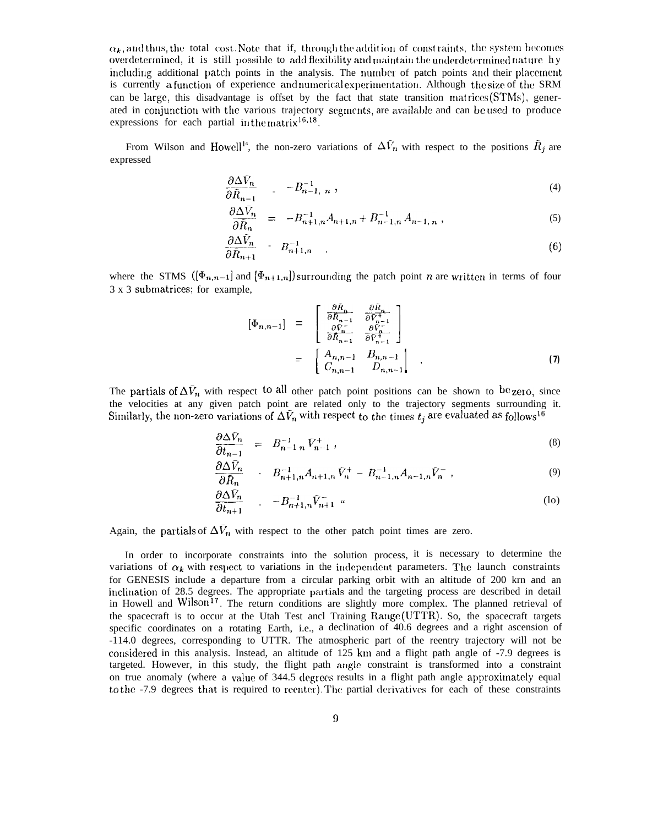$\alpha_k$ , and thus, the total cost. Note that if, through the addition of constraints, the system becomes overdetermined, it is still possible to add flexibility and maintain the underdetermined nature hy including additional patch points in the analysis. The number of patch points and their placement is currently a function of experience and numerical experimentation. Although the size of the SRM can be large, this disadvantage is offset by the fact that state transition matrices (STMs), generated in conjunction with the various trajectory segments, are available and can be used to produce expressions for each partial in the matrix  $16,18$ .

From Wilson and Howell<sup>16</sup>, the non-zero variations of  $\Delta V_n$  with respect to the positions  $\tilde{R}_j$  are expressed

$$
\frac{\partial \Delta V_n}{\partial \bar{R}_{n-1}} = -B_{n-1, n}^{-1}, \qquad (4)
$$

$$
\frac{\partial \Delta \bar{V}_n}{\partial \bar{R}_n} = -B_{n+1,n}^{-1} A_{n+1,n} + B_{n-1,n}^{-1} A_{n-1,n} , \qquad (5)
$$

$$
\frac{\partial \Delta \bar{V}_n}{\partial \bar{R}_{n+1}} = B_{n+1,n}^{-1} \tag{6}
$$

where the STMS  $([\Phi_{n,n-1}]$  and  $[\Phi_{n+1,n}]$  surrounding the patch point *n* are written in terms of four 3 x 3 submatrices; for example,

$$
\begin{aligned}\n\left[\Phi_{n,n-1}\right] &= \begin{bmatrix}\n\frac{\partial \bar{R}_n}{\partial \bar{R}_{n-1}} & \frac{\partial \bar{R}_n}{\partial \bar{V}_n^{+1}} \\
\frac{\partial \bar{V}_n^{+}}{\partial \bar{R}_{n-1}} & \frac{\partial \bar{V}_n^{+}}{\partial \bar{V}_{n-1}^{+}}\n\end{bmatrix} \\
&= \begin{bmatrix}\nA_{n,n-1} & B_{n,n-1} \\
C_{n,n-1} & D_{n,n-1}\n\end{bmatrix}\n\end{aligned} \tag{7}
$$

The partials of  $\Delta V_n$  with respect to all other patch point positions can be shown to be zero, since the velocities at any given patch point are related only to the trajectory segments surrounding it. Similarly, the non-zero variations of  $\Delta V_n$  with respect to the times  $t_i$  are evaluated as follows<sup>16</sup>

$$
\frac{\partial \Delta V_n}{\partial t_{n-1}} = B_{n-1}^{-1}{}_n \tilde{V}_{n-1}^+, \tag{8}
$$

$$
\frac{\partial \Delta \bar{V}_n}{\partial \bar{R}_n} \qquad : \quad B_{n+1,n}^{-1} A_{n+1,n} \, \bar{V}_n^+ \; - \; B_{n-1,n}^{-1} A_{n-1,n} \bar{V}_n^- \; , \tag{9}
$$

$$
\frac{\partial \Delta \bar{V}_n}{\partial t_{n+1}} = -B_{n+1,n}^{-1} \bar{V}_{n+1}^{-} \tag{10}
$$

Again, the partials of  $\Delta V_n$  with respect to the other patch point times are zero.

In order to incorporate constraints into the solution process, it is necessary to determine the variations of  $\alpha_k$  with respect to variations in the independent parameters. The launch constraints for GENESIS include a departure from a circular parking orbit with an altitude of 200 krn and an inclination of 28.5 degrees. The appropriate partials and the targeting process are described in detail in Howell and Wilson<sup>17</sup>. The return conditions are slightly more complex. The planned retrieval of the spacecraft is to occur at the Utah Test ancl Training Range (UTTR). So, the spacecraft targets specific coordinates on a rotating Earth, i.e., a declination of 40.6 degrees and a right ascension of -114.0 degrees, corresponding to UTTR. The atmospheric part of the reentry trajectory will not be considered in this analysis. Instead, an altitude of 125 km and a flight path angle of -7.9 degrees is targeted. However, in this study, the flight path angle constraint is transformed into a constraint on true anomaly (where a value of 344.5 degrees results in a flight path angle approximately equal to the -7.9 degrees that is required to reenter). The partial derivatives for each of these constraints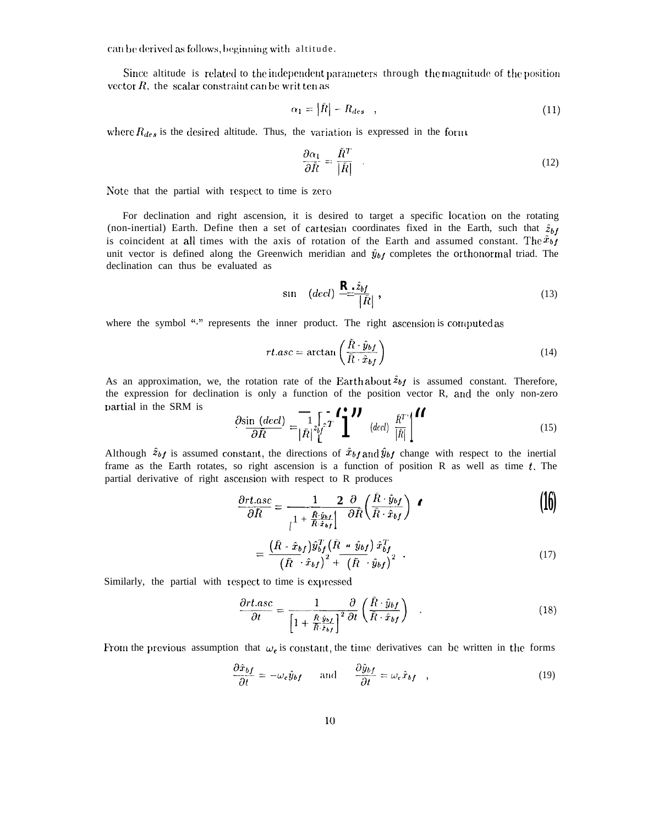can be derived as follows, beginning with altitude.

Since altitude is related to the independent parameters through the magnitude of the position vector  $R$ , the scalar constraint can be written as

$$
\alpha_1 = |\bar{R}| - R_{des} \quad , \tag{11}
$$

where  $R_{des}$  is the desired altitude. Thus, the variation is expressed in the form

$$
\frac{\partial \alpha_1}{\partial \bar{R}} = \frac{\bar{R}^T}{|\bar{R}|} \tag{12}
$$

Note that the partial with respect to time is zero

For declination and right ascension, it is desired to target a specific location on the rotating (non-inertial) Earth. Define then a set of cartesian coordinates fixed in the Earth, such that  $\hat{z}_{bf}$ is coincident at all times with the axis of rotation of the Earth and assumed constant. The  $\hat{x}_{bf}$ unit vector is defined along the Greenwich meridian and  $\hat{y}_{bf}$  completes the orthonormal triad. The declination can thus be evaluated as

$$
\sin \quad (decl) \stackrel{\mathbf{R}_{\perp} \hat{z}_{bf}}{=} \frac{1}{|\bar{R}|}, \tag{13}
$$

where the symbol "." represents the inner product. The right ascension is computed as

$$
rt. asc = \arctan\left(\frac{\bar{R} \cdot \hat{y}_{bf}}{\bar{R} \cdot \hat{x}_{bf}}\right)
$$
\n(14)

As an approximation, we, the rotation rate of the Earth about  $\hat{z}_{bf}$  is assumed constant. Therefore, the expression for declination is only a function of the position vector R, and the only non-zero partial in the SRM is

$$
\frac{\partial \sin (dec)}{\partial \bar{R}} = \frac{1}{|\bar{R}|} \sum_{i=1}^{n} \sum_{i=1}^{n} \mathbf{Y} \cdot \left(\frac{\partial \mathbf{Y}}{|\bar{R}|}\right)^{i} \tag{15}
$$

Although  $\hat{z}_{bf}$  is assumed constant, the directions of  $\hat{x}_{bf}$  and  $\hat{y}_{bf}$  change with respect to the inertial frame as the Earth rotates, so right ascension is a function of position R as well as time  $t$ . The partial derivative of right ascension with respect to R produces

$$
\frac{\partial rt. asc}{\partial R} = \frac{1}{\frac{R \cdot \hat{y}_{bf}}{1 + \frac{R \cdot \hat{y}_{bf}}{R \cdot \hat{x}_{bf}}} \left(\frac{\bar{R} \cdot \hat{y}_{bf}}{\bar{R} \cdot \hat{x}_{bf}}\right)} \quad \bullet \tag{16}
$$

$$
= \frac{(\bar{R} \cdot \hat{x}_{bf})\hat{y}_{bf}^{T}(\bar{R} \cdot \hat{y}_{bf})\hat{x}_{bf}^{T}}{(\bar{R} \cdot \hat{x}_{bf})^{2} + (\bar{R} \cdot \hat{y}_{bf})^{2}} \tag{17}
$$

Similarly, the partial with respect to time is expressed

$$
\frac{\partial rt. asc}{\partial t} = \frac{1}{\left[1 + \frac{\bar{R} \cdot \hat{y}_{b\bar{I}}}{\bar{R} \cdot \hat{x}_{b\bar{I}}}\right]^2} \frac{\partial}{\partial t} \left(\frac{\bar{R} \cdot \hat{y}_{b\bar{I}}}{\bar{R} \cdot \hat{x}_{b\bar{I}}}\right)
$$
(18)

From the previous assumption that  $\omega_e$  is constant, the time derivatives can be written in the forms

$$
\frac{\partial \hat{x}_{bf}}{\partial t} = -\omega_e \hat{y}_{bf} \quad \text{and} \quad \frac{\partial \hat{y}_{bf}}{\partial t} = \omega_e \hat{x}_{bf} \quad , \tag{19}
$$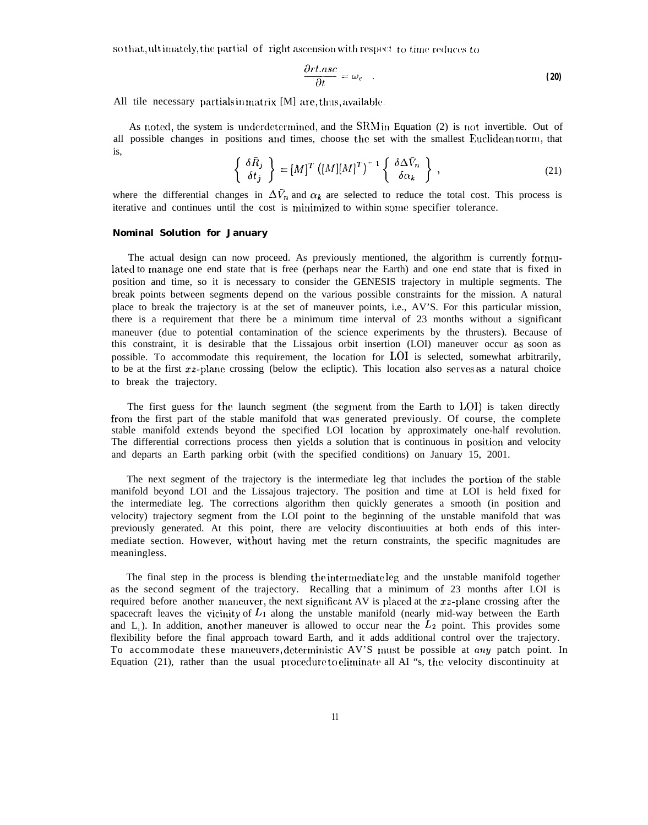so that, ultimately, the partial of right ascension with respect to time reduces to

$$
\frac{\partial rt. asc}{\partial t} = \omega_{\epsilon} \quad . \tag{20}
$$

All tile necessary partials in matrix  $[M]$  are, thus, available.

As noted, the system is underdetermined, and the SRM in Equation (2) is not invertible. Out of all possible changes in positions and times, choose the set with the smallest Euclidean norm, that is,

$$
\left\{\begin{array}{c}\delta\bar{R}_j\\ \delta t_j\end{array}\right\} = [M]^T \left([M][M]^T\right)^{-1} \left\{\begin{array}{c}\delta\Delta\bar{V}_n\\ \delta\alpha_k\end{array}\right\},\tag{21}
$$

where the differential changes in  $\Delta V_n$  and  $\alpha_k$  are selected to reduce the total cost. This process is iterative and continues until the cost is minimized to within some specifier tolerance.

#### **Nominal Solution for January**

The actual design can now proceed. As previously mentioned, the algorithm is currently fornmlated to manage one end state that is free (perhaps near the Earth) and one end state that is fixed in position and time, so it is necessary to consider the GENESIS trajectory in multiple segments. The break points between segments depend on the various possible constraints for the mission. A natural place to break the trajectory is at the set of maneuver points, i.e., AV'S. For this particular mission, there is a requirement that there be a minimum time interval of 23 months without a significant maneuver (due to potential contamination of the science experiments by the thrusters). Because of this constraint, it is desirable that the Lissajous orbit insertion (LOI) maneuver occur as soon as possible. To accommodate this requirement, the location for 1,01 is selected, somewhat arbitrarily, to be at the first  $xz$ -plane crossing (below the ecliptic). This location also serves as a natural choice to break the trajectory.

The first guess for the launch segment (the segment from the Earth to  $LOI$ ) is taken directly from the first part of the stable manifold that was generated previously. Of course, the complete stable manifold extends beyond the specified LOI location by approximately one-half revolution. The differential corrections process then yields a solution that is continuous in position and velocity and departs an Earth parking orbit (with the specified conditions) on January 15, 2001.

The next segment of the trajectory is the intermediate leg that includes the portion of the stable manifold beyond LOI and the Lissajous trajectory. The position and time at LOI is held fixed for the intermediate leg. The corrections algorithm then quickly generates a smooth (in position and velocity) trajectory segment from the LOI point to the beginning of the unstable manifold that was previously generated. At this point, there are velocity discontiuuities at both ends of this intermediate section. However, w'ithout having met the return constraints, the specific magnitudes are meaningless.

The final step in the process is blending the intermediate leg and the unstable manifold together as the second segment of the trajectory. Recalling that a minimum of 23 months after LOI is required before another maneuver, the next significant AV is placed at the  $xz$ -plane crossing after the spacecraft leaves the vicinity of  $L_1$  along the unstable manifold (nearly mid-way between the Earth and L<sub>1</sub>). In addition, another maneuver is allowed to occur near the  $L_2$  point. This provides some flexibility before the final approach toward Earth, and it adds additional control over the trajectory. To accommodate these maneuvers, deterministic AV'S must be possible at any patch point. In Equation (21), rather than the usual procedure to eliminate all AI "s, the velocity discontinuity at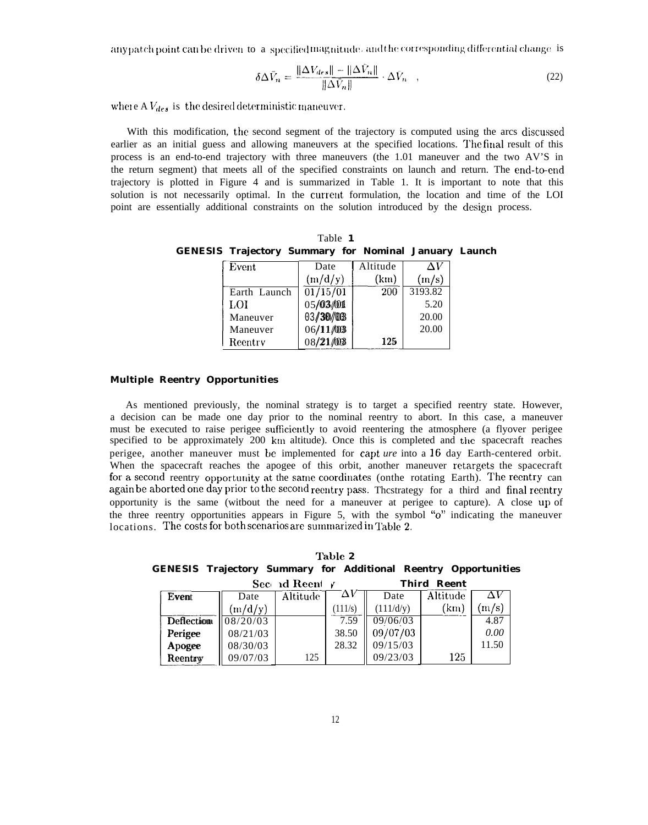any patch point can be driven to a specified magnitude, and the corresponding differential change is

$$
\delta \Delta \bar{V}_n = \frac{\|\Delta V_{des}\| - \|\Delta V_n\|}{\|\Delta \bar{V}_n\|} \cdot \Delta \bar{V}_n \quad , \tag{22}
$$

where  $AV_{des}$  is the desired deterministic maneuver.

With this modification, the second segment of the trajectory is computed using the arcs discussed earlier as an initial guess and allowing maneuvers at the specified locations. The final result of this process is an end-to-end trajectory with three maneuvers (the 1.01 maneuver and the two AV'S in the return segment) that meets all of the specified constraints on launch and return. The end-to-end trajectory is plotted in Figure 4 and is summarized in Table 1. It is important to note that this solution is not necessarily optimal. In the current formulation, the location and time of the LOI point are essentially additional constraints on the solution introduced by the design process.

Table 1 **GENESIS Trajectory Summary for Nominal January Launch** 

| Event        | Date                  | Altitude | ΛV      |
|--------------|-----------------------|----------|---------|
|              | (m/d/y)               | (km)     | (m/s)   |
| Earth Launch | $\overline{01/15/01}$ | 200      | 3193.82 |
| LOI          | 05/03/01              |          | 5.20    |
| Maneuver     | 03/30/03              |          | 20.00   |
| Maneuver     | 06/11/03              |          | 20.00   |
| Reentry      | 08/21/03              | 125      |         |

## **Multiple Reentry Opportunities**

As mentioned previously, the nominal strategy is to target a specified reentry state. However, a decision can be made one day prior to the nominal reentry to abort. In this case, a maneuver must be executed to raise perigee sufficiently to avoid reentering the atmosphere (a flyover perigee specified to be approximately 200 km altitude). Once this is completed and the spacecraft reaches perigee, another maneuver must be implemented for capt ure into a 16 day Earth-centered orbit. When the spacecraft reaches the apogee of this orbit, another maneuver retargets the spacecraft for a second reentry opportunity at the same coordinates (onthe rotating Earth). The reentry can again be aborted one day prior to the second reentry pass. The strategy for a third and final reentry opportunity is the same (witbout the need for a maneuver at perigee to capture). A close up of the three reentry opportunities appears in Figure 5, with the symbol "o" indicating the maneuver locations. The costs for both scenarios are summarized in Table 2.

| Table 2 |  |                                          |  |  |             |                                                                        |  |
|---------|--|------------------------------------------|--|--|-------------|------------------------------------------------------------------------|--|
|         |  |                                          |  |  |             | <b>GENESIS Trajectory Summary for Additional Reentry Opportunities</b> |  |
|         |  | Sec $\overline{d}$ Result $\overline{f}$ |  |  | Third Reent |                                                                        |  |

| ບບບ<br><u>кі песін</u> |          |                 |       | .         |          |                       |
|------------------------|----------|-----------------|-------|-----------|----------|-----------------------|
| Event                  | Date     | <b>Altitude</b> | ΔV    | Date      | Altitude | ΛV                    |
|                        | (m/d/y)  |                 | 111/s | (111/d/y) | (km)     | $\lfloor m/s \rfloor$ |
| <b>Deflection</b>      | 08/20/03 |                 | 7.59  | 09/06/03  |          | 4.87                  |
| Perigee                | 08/21/03 |                 | 38.50 | 09/07/03  |          | 0.00                  |
| Apogee                 | 08/30/03 |                 | 28.32 | 09/15/03  |          | 11.50                 |
| Reentry                | 09/07/03 | 125             |       | 09/23/03  | 125      |                       |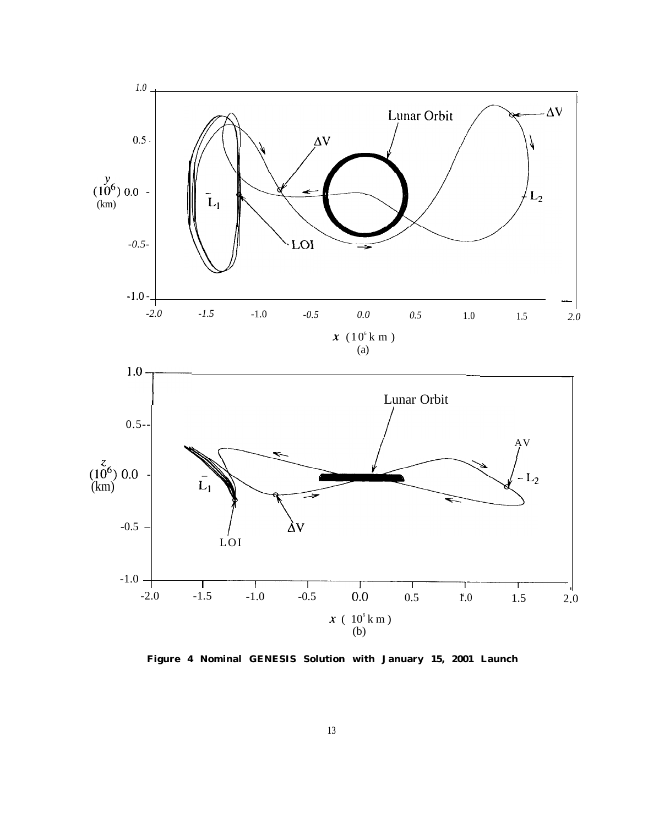

**Figure 4 Nominal GENESIS Solution with January 15, 2001 Launch**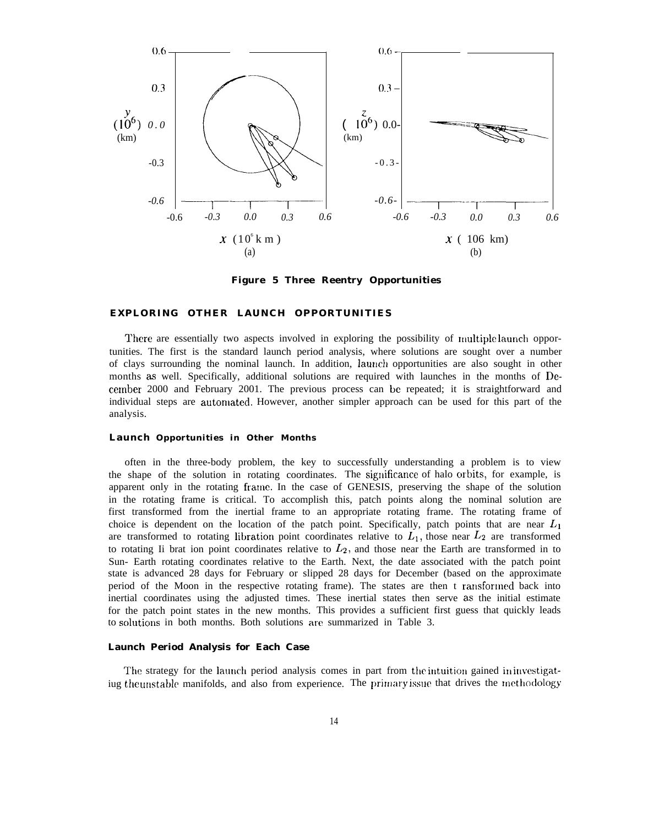

**Figure 5 Three Reentry Opportunities**

#### **EXPLORING OTHER LAUNCH OPPORTUNITIES**

There are essentially two aspects involved in exploring the possibility of multiple launch opportunities. The first is the standard launch period analysis, where solutions are sought over a number of clays surrounding the nominal launch. In addition, laurrch opportunities are also sought in other months as well. Specifically, additional solutions are required with launches in the months of Decenrber 2000 and February 2001. The previous process can be repeated; it is straightforward and individual steps are automated. However, another simpler approach can be used for this part of the analysis.

#### **Launch Opportunities in Other Months**

often in the three-body problem, the key to successfully understanding a problem is to view the shape of the solution in rotating coordinates. The significance of halo orbits, for example, is apparent only in the rotating frarue. In the case of GENESIS, preserving the shape of the solution in the rotating frame is critical. To accomplish this, patch points along the nominal solution are first transformed from the inertial frame to an appropriate rotating frame. The rotating frame of choice is dependent on the location of the patch point. Specifically, patch points that are near  $L_1$ are transformed to rotating libration point coordinates relative to  $L_1$ , those near  $L_2$  are transformed to rotating Ii brat ion point coordinates relative to  $L_2$ , and those near the Earth are transformed in to Sun- Earth rotating coordinates relative to the Earth. Next, the date associated with the patch point state is advanced 28 days for February or slipped 28 days for December (based on the approximate period of the Moon in the respective rotating frame). The states are then t ransforrned back into inertial coordinates using the adjusted times. These inertial states then serve as the initial estimate for the patch point states in the new months. This provides a sufficient first guess that quickly leads to solutions in both months. Both solutions are summarized in Table 3.

#### **Launch Period Analysis for Each Case**

The strategy for the launch period analysis comes in part from the intuition gained in investigatiug the unstable manifolds, and also from experience. The primary issue that drives the methodology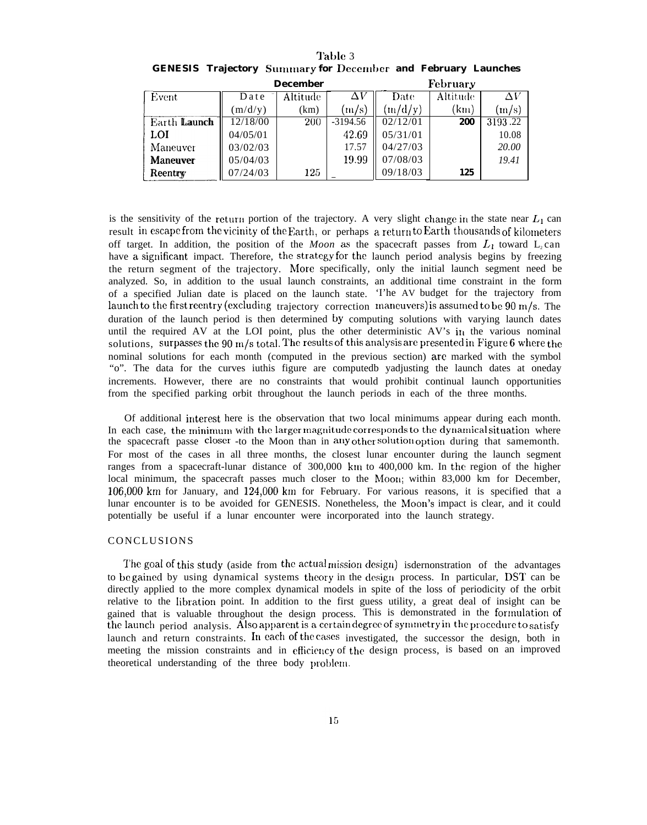|              |          | December   |            | February |          |         |
|--------------|----------|------------|------------|----------|----------|---------|
| Event        | Date     | Altitude   | $\Delta V$ | Date     | Altitude | ΔV      |
|              | (m/d/y)  | (km)       | (m/s)      | (m/d/y)  | (km)     | (m/s)   |
| Earth Launch | 12/18/00 | <b>200</b> | $-3194.56$ | 02/12/01 | 200      | 3193.22 |
| <b>LOI</b>   | 04/05/01 |            | 42.69      | 05/31/01 |          | 10.08   |
| Maneuver     | 03/02/03 |            | 17.57      | 04/27/03 |          | 20.00   |
| Maneuver     | 05/04/03 |            | 19.99      | 07/08/03 |          | 19.41   |
| Reentry      | 07/24/03 | 125        |            | 09/18/03 | 125      |         |

Table 3 **GENESIS Trajectory Summary for December and February Launches** 

is the sensitivity of the return portion of the trajectory. A very slight change in the state near  $L_1$  can result in escape from the vicinity of the Earth, or perhaps a return to Earth thousands of kilometers off target. In addition, the position of the Moon as the spacecraft passes from  $L_1$  toward  $L_2$ can have a significant impact. Therefore, the strategy for the launch period analysis begins by freezing the return segment of the trajectory. More specifically, only the initial launch segment need be analyzed. So, in addition to the usual launch constraints, an additional time constraint in the form of a specified Julian date is placed on the launch state. The AV budget for the trajectory from launch to the first reentry (excluding trajectory correction maneuvers) is assumed to be 90 m/s. The duration of the launch period is then determined by computing solutions with varying launch dates until the required AV at the LOI point, plus the other deterministic AV's in the various nominal solutions, surpasses the 90 m/s total. The results of this analysis are presented in Figure 6 where the nominal solutions for each month (computed in the previous section) are marked with the symbol "o". The data for the curves iuthis figure are computed yyadjusting the launch dates at oneday increments. However, there are no constraints that would prohibit continual launch opportunities from the specified parking orbit throughout the launch periods in each of the three months.

Of additional interest here is the observation that two local minimums appear during each month. In each case, the minimum with the larger magnitude corresponds to the dynamical situation where

the spacecraft passe closer -to the Moon than in any other solution option during that samemonth. For most of the cases in all three months, the closest lunar encounter during the launch segment ranges from a spacecraft-lunar distance of 300,000 km to 400,000 km. In the region of the higher local minimum, the spacecraft passes much closer to the Moon; within 83,000 km for December, 106,000 km for January, and 124,000 km for February. For various reasons, it is specified that a lunar encounter is to be avoided for GENESIS. Nonetheless, the Moon's impact is clear, and it could potentially be useful if a lunar encounter were incorporated into the launch strategy.

## CONCLUSIONS

The goal of this study (aside from the actual mission design) is<br>dernonstration of the advantages to be gained by using dynamical systems theory in the design process. In particular, DST can be directly applied to the more complex dynamical models in spite of the loss of periodicity of the orbit relative to the libration point. In addition to the first guess utility, a great deal of insight can be gained that is valuable throughout the design process. This is demonstrated in the formulation of the launch period analysis. Also apparent is a certain degree of symmetry in the procedure to satisfy launch and return constraints. In each of the cases investigated, the successor the design, both in meeting the mission constraints and in efficiency of the design process, is based on an improved theoretical understanding of the three body problem.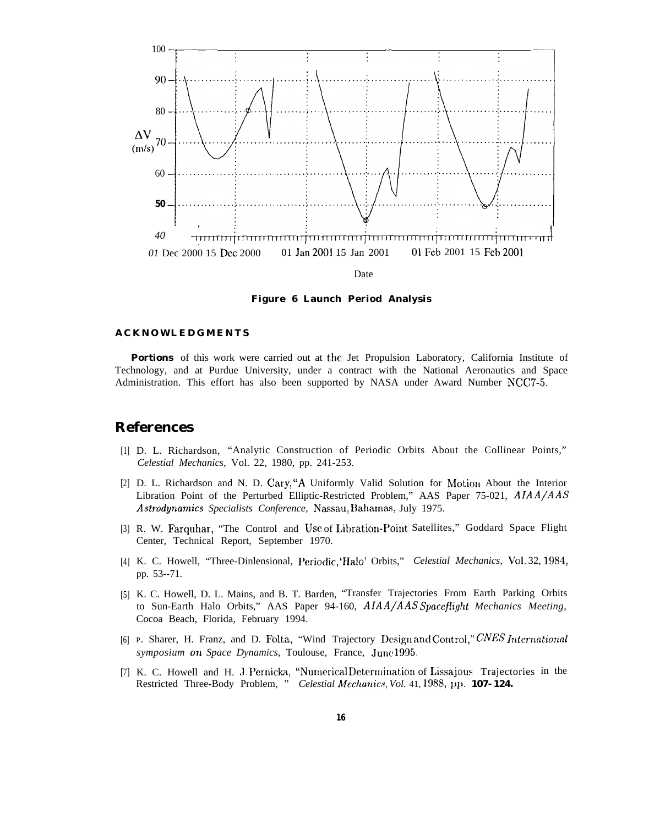

Figure 6 Launch Period Analysis

#### **ACKNOWLEDGMENTS**

**Portions** of this work were carried out at the Jet Propulsion Laboratory, California Institute of Technology, and at Purdue University, under a contract with the National Aeronautics and Space Administration. This effort has also been supported by NASA under Award Number NCC7-5.

# **References**

- [1] D. L. Richardson, "Analytic Construction of Periodic Orbits About the Collinear Points," Celestial Mechanics, Vol. 22, 1980, pp. 241-253.
- [2] D. L. Richardson and N. D. Cary, "A Uniformly Valid Solution for Motion About the Interior Libration Point of the Perturbed Elliptic-Restricted Problem," AAS Paper 75-021, AIAA/AAS Astrodynamics Specialists Conference, Nassau, Bahamas, July 1975.
- [3] R. W. Farquhar, "The Control and Use of Libration-Point Satellites," Goddard Space Flight Center, Technical Report, September 1970.
- [4] K. C. Howell, "Three-Dinlensional, Periodic, 'Halo' Orbits," Celestial Mechanics, Vol. 32, 1984, pp. 53--71.
- [5] K. C. Howell, D. L. Mains, and B. T. Barden, "Transfer Trajectories From Earth Parking Orbits to Sun-Earth Halo Orbits," AAS Paper 94-160, AIAA/AAS Spaceflight Mechanics Meeting, Cocoa Beach, Florida, February 1994.
- [6] P. Sharer, H. Franz, and D. Folta, "Wind Trajectory Design and Control," CNES International symposium on Space Dynamics, Toulouse, France, June1995.
- [7] K. C. Howell and H. J. Pernicka, "Numerical Determination of Lissajous Trajectories in the Restricted Three-Body Problem, " Celestial Mechanics, Vol. 41, 1988, pp. 107-124.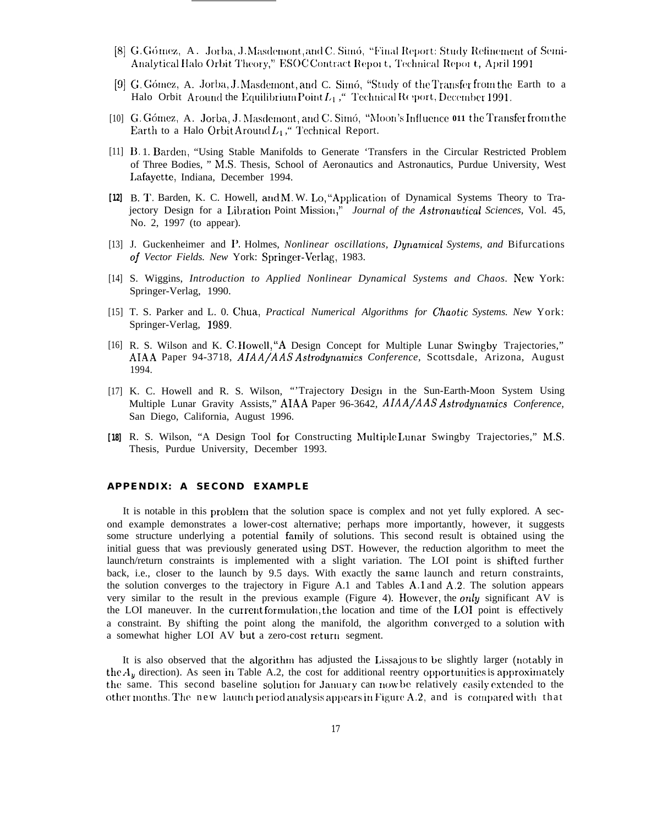- [8] G. Gómez, A. Jorba, J. Masdemont, and C. Simó, "Final Report: Study Refinement of Semi-Analytical Halo Orbit Theory," ESOC Contract Report, Technical Report, April 1991
- [9] G. Gómez, A. Jorba, J. Masdemont, and C. Simó, "Study of the Transfer from the Earth to a Halo Orbit Around the Equilibrium Point  $L_1$ , "Technical Report, December 1991.
- [10] G. Gómez, A. Jorba, J. Masdemont, and C. Simó, "Moon's Influence 011 the Transfer from the Earth to a Halo Orbit Around  $L_1$ ," Technical Report.
- [11] B. 1. Barden, "Using Stable Manifolds to Generate 'Transfers in the Circular Restricted Problem of Three Bodies, " M.S. Thesis, School of Aeronautics and Astronautics, Purdue University, West Lafayette, Indiana, December 1994.
- [12] B. T. Barden, K. C. Howell, and M. W. Lo, "Application of Dynamical Systems Theory to Trajectory Design for a Libration Point Mission," Journal of the Astronautical Sciences, Vol. 45, No. 2, 1997 (to appear).
- [13] J. Guckenheimer and P. Holmes, *Nonlinear oscillations*, *Dynamical Systems*, and Bifurcations of Vector Fields. New York: Springer-Verlag, 1983.
- [14] S. Wiggins, Introduction to Applied Nonlinear Dynamical Systems and Chaos. New York: Springer-Verlag, 1990.
- [15] T. S. Parker and L. O. Chua, *Practical Numerical Algorithms for Chaotic Systems. New York*: Springer-Verlag, 1989.
- [16] R. S. Wilson and K. C. Howell, "A Design Concept for Multiple Lunar Swingby Trajectories," AIAA Paper 94-3718, AIAA/AAS Astrodynamics Conference, Scottsdale, Arizona, August 1994.
- [17] K. C. Howell and R. S. Wilson, "Trajectory Design in the Sun-Earth-Moon System Using Multiple Lunar Gravity Assists," AIAA Paper 96-3642, AIAA/AAS Astrodynamics Conference, San Diego, California, August 1996.
- [18] R. S. Wilson, "A Design Tool for Constructing Multiple Lunar Swingby Trajectories," M.S. Thesis, Purdue University, December 1993.

#### APPENDIX: A SECOND EXAMPLE

It is notable in this problem that the solution space is complex and not yet fully explored. A second example demonstrates a lower-cost alternative; perhaps more importantly, however, it suggests some structure underlying a potential family of solutions. This second result is obtained using the initial guess that was previously generated using DST. However, the reduction algorithm to meet the launch/return constraints is implemented with a slight variation. The LOI point is shifted further back, i.e., closer to the launch by 9.5 days. With exactly the same launch and return constraints, the solution converges to the trajectory in Figure A.1 and Tables A.1 and A.2. The solution appears very similar to the result in the previous example (Figure 4). However, the only significant AV is the LOI maneuver. In the current formulation, the location and time of the LOI point is effectively a constraint. By shifting the point along the manifold, the algorithm converged to a solution with a somewhat higher LOI AV but a zero-cost return segment.

It is also observed that the algorithm has adjusted the Lissajous to be slightly larger (notably in the  $A_y$  direction). As seen in Table A.2, the cost for additional reentry opportunities is approximately the same. This second baseline solution for January can now be relatively easily extended to the other months. The new launch period analysis appears in Figure A.2, and is compared with that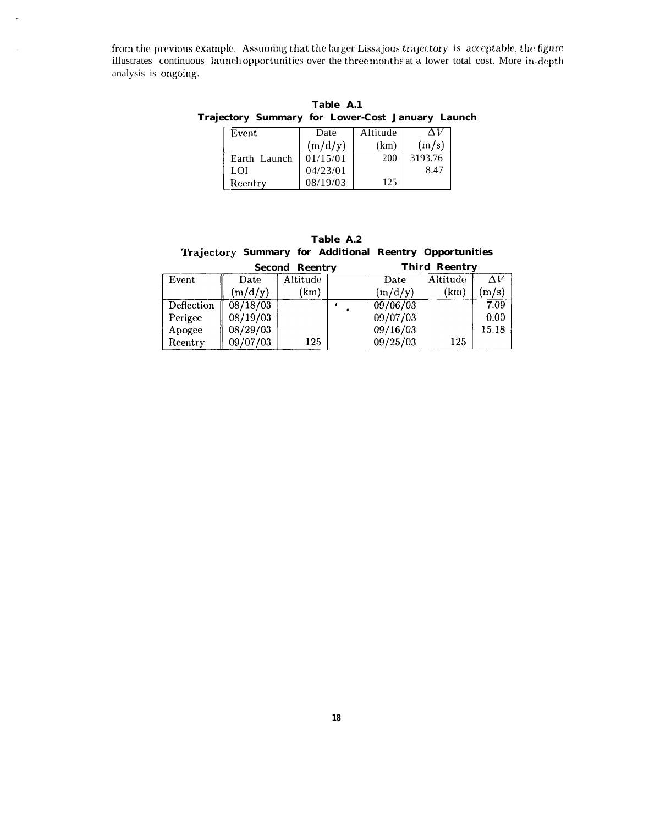from the previous example. Assuming that the larger Lissajous trajectory is acceptable, the figure illustrates continuous launch opportunities over the three months at a lower total cost. More in-depth analysis is ongoing.

 $\ddot{\phantom{a}}$ 

Table A.1 Trajectory Summary for Lower-Cost January Launch

| Event        | Date     | Altitude |         |
|--------------|----------|----------|---------|
|              | (m/d/v)  | (km)     | (m/s)   |
| Earth Launch | 01/15/01 | 200      | 3193.76 |
| LOI          | 04/23/01 |          | 8.47    |
| Reentry      | 08/19/03 | 125      |         |

Table A.2 Trajectory Summary for Additional Reentry Opportunities and and

|            | <b>Second Reentry</b> |          |  | <b>Third Reentry</b> |          |            |
|------------|-----------------------|----------|--|----------------------|----------|------------|
| Event      | Date                  | Altitude |  | Date                 | Altitude | $\Delta V$ |
|            | (m/d/y)               | (km)     |  | (m/d/y)              | (km)     | (m/s)      |
| Deflection | 08/18/03              |          |  | 09/06/03             |          | 7.09       |
| Perigee    | 08/19/03              |          |  | 09/07/03             |          | 0.00       |
| Apogee     | 08/29/03              |          |  | 09/16/03             |          | 15.18      |
| Reentry    | 09/07/03              | 125      |  | 09/25/03             | 125      |            |